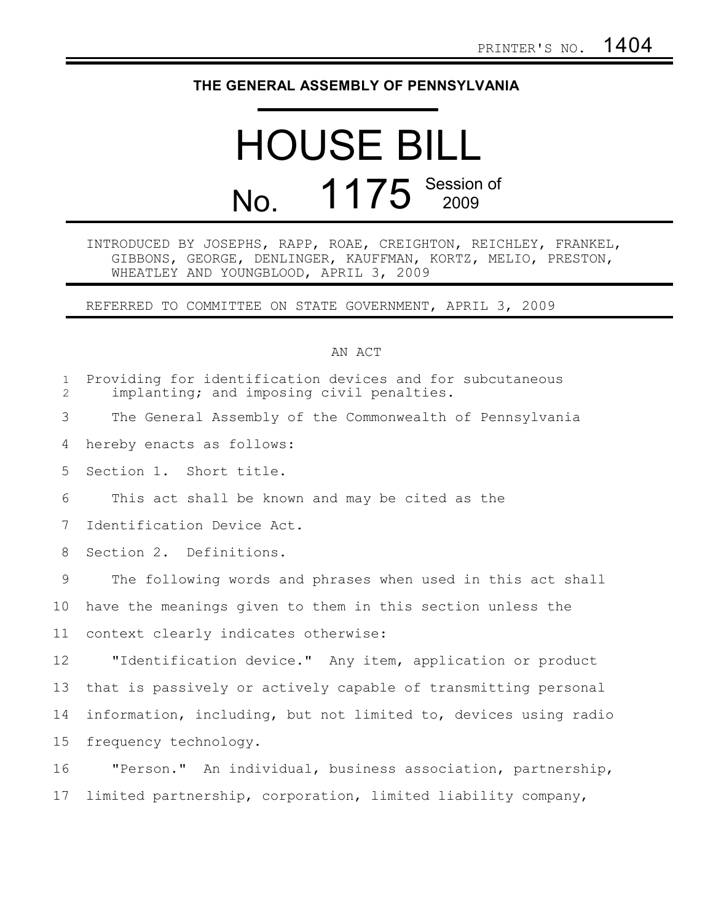## **THE GENERAL ASSEMBLY OF PENNSYLVANIA**

## HOUSE BILL No. 1175 Session of

## INTRODUCED BY JOSEPHS, RAPP, ROAE, CREIGHTON, REICHLEY, FRANKEL, GIBBONS, GEORGE, DENLINGER, KAUFFMAN, KORTZ, MELIO, PRESTON, WHEATLEY AND YOUNGBLOOD, APRIL 3, 2009

REFERRED TO COMMITTEE ON STATE GOVERNMENT, APRIL 3, 2009

## AN ACT

| $\mathbf{1}$<br>$\overline{2}$ | Providing for identification devices and for subcutaneous<br>implanting; and imposing civil penalties. |
|--------------------------------|--------------------------------------------------------------------------------------------------------|
| 3                              | The General Assembly of the Commonwealth of Pennsylvania                                               |
| 4                              | hereby enacts as follows:                                                                              |
| 5                              | Section 1. Short title.                                                                                |
| 6                              | This act shall be known and may be cited as the                                                        |
| $7\phantom{.0}$                | Identification Device Act.                                                                             |
| 8                              | Section 2. Definitions.                                                                                |
| 9                              | The following words and phrases when used in this act shall                                            |
| 10                             | have the meanings given to them in this section unless the                                             |
| 11                             | context clearly indicates otherwise:                                                                   |
| 12                             | "Identification device." Any item, application or product                                              |
| 13                             | that is passively or actively capable of transmitting personal                                         |
| 14                             | information, including, but not limited to, devices using radio                                        |
| 15                             | frequency technology.                                                                                  |
| 16                             | "Person." An individual, business association, partnership,                                            |
| 17                             | limited partnership, corporation, limited liability company,                                           |
|                                |                                                                                                        |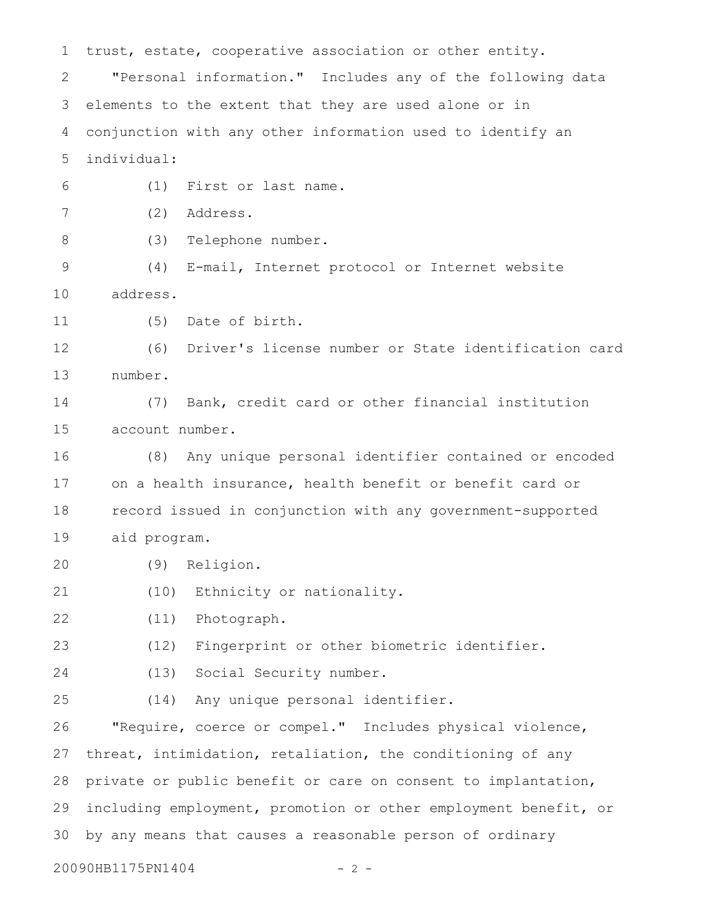trust, estate, cooperative association or other entity. "Personal information." Includes any of the following data elements to the extent that they are used alone or in conjunction with any other information used to identify an individual: (1) First or last name. (2) Address. (3) Telephone number. (4) E-mail, Internet protocol or Internet website address. (5) Date of birth. (6) Driver's license number or State identification card number. (7) Bank, credit card or other financial institution account number. (8) Any unique personal identifier contained or encoded on a health insurance, health benefit or benefit card or record issued in conjunction with any government-supported aid program. (9) Religion. (10) Ethnicity or nationality. (11) Photograph. (12) Fingerprint or other biometric identifier. (13) Social Security number. (14) Any unique personal identifier. "Require, coerce or compel." Includes physical violence, threat, intimidation, retaliation, the conditioning of any private or public benefit or care on consent to implantation, including employment, promotion or other employment benefit, or by any means that causes a reasonable person of ordinary 1 2 3 4 5 6 7 8 9 10 11 12 13 14 15 16 17 18 19 20 21 22 23 24 25 26 27 28 29 30

20090HB1175PN1404 - 2 -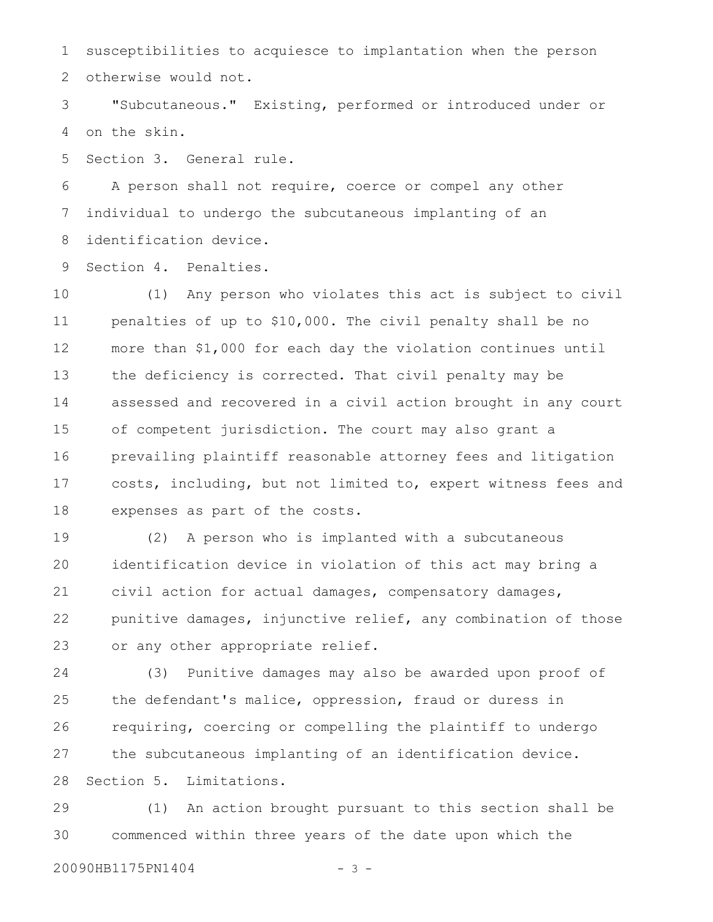susceptibilities to acquiesce to implantation when the person otherwise would not. 1 2

"Subcutaneous." Existing, performed or introduced under or on the skin. 3 4

Section 3. General rule. 5

A person shall not require, coerce or compel any other individual to undergo the subcutaneous implanting of an identification device. 6 7 8

Section 4. Penalties. 9

(1) Any person who violates this act is subject to civil penalties of up to \$10,000. The civil penalty shall be no more than \$1,000 for each day the violation continues until the deficiency is corrected. That civil penalty may be assessed and recovered in a civil action brought in any court of competent jurisdiction. The court may also grant a prevailing plaintiff reasonable attorney fees and litigation costs, including, but not limited to, expert witness fees and expenses as part of the costs. 10 11 12 13 14 15 16 17 18

(2) A person who is implanted with a subcutaneous identification device in violation of this act may bring a civil action for actual damages, compensatory damages, punitive damages, injunctive relief, any combination of those or any other appropriate relief. 19 20 21 22 23

(3) Punitive damages may also be awarded upon proof of the defendant's malice, oppression, fraud or duress in requiring, coercing or compelling the plaintiff to undergo the subcutaneous implanting of an identification device. Section 5. Limitations. 24 25 26 27 28

(1) An action brought pursuant to this section shall be commenced within three years of the date upon which the 29 30

20090HB1175PN1404 - 3 -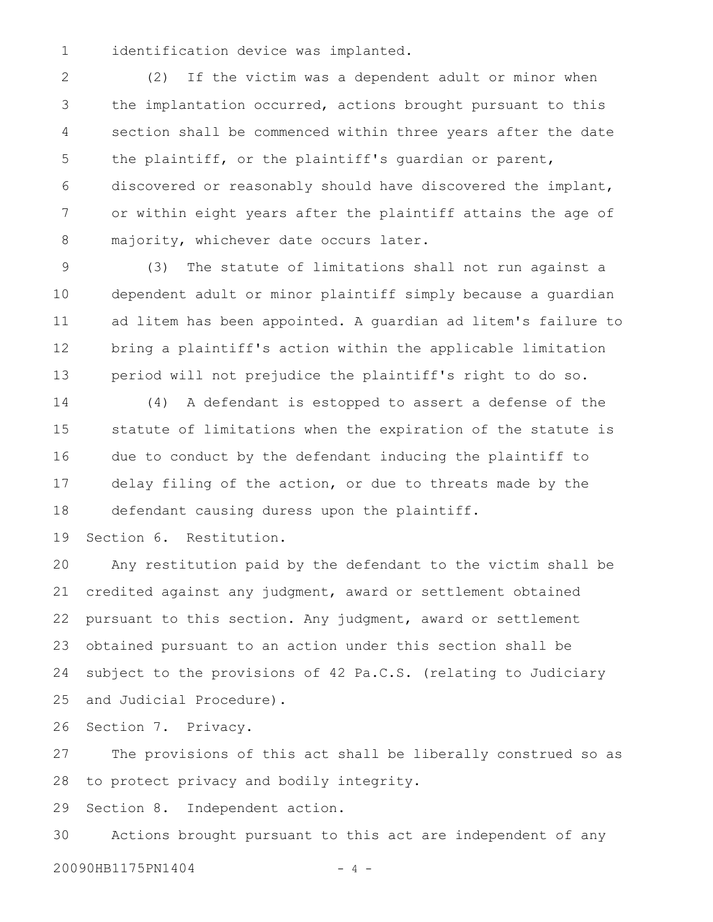identification device was implanted. 1

(2) If the victim was a dependent adult or minor when the implantation occurred, actions brought pursuant to this section shall be commenced within three years after the date the plaintiff, or the plaintiff's guardian or parent, discovered or reasonably should have discovered the implant, or within eight years after the plaintiff attains the age of majority, whichever date occurs later. 2 3 4 5 6 7 8

(3) The statute of limitations shall not run against a dependent adult or minor plaintiff simply because a guardian ad litem has been appointed. A guardian ad litem's failure to bring a plaintiff's action within the applicable limitation period will not prejudice the plaintiff's right to do so. 9 10 11 12 13

(4) A defendant is estopped to assert a defense of the statute of limitations when the expiration of the statute is due to conduct by the defendant inducing the plaintiff to delay filing of the action, or due to threats made by the defendant causing duress upon the plaintiff. 14 15 16 17 18

Section 6. Restitution. 19

Any restitution paid by the defendant to the victim shall be credited against any judgment, award or settlement obtained pursuant to this section. Any judgment, award or settlement obtained pursuant to an action under this section shall be subject to the provisions of 42 Pa.C.S. (relating to Judiciary and Judicial Procedure). 20 21 22 23 24 25

Section 7. Privacy. 26

The provisions of this act shall be liberally construed so as to protect privacy and bodily integrity. 27 28

Section 8. Independent action. 29

Actions brought pursuant to this act are independent of any 20090HB1175PN1404 - 4 -30